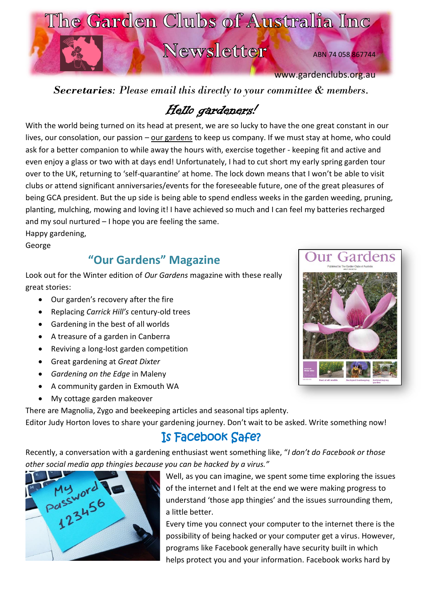

*Secretaries: Please email this directly to your committee & members.* 

# Hello gardeners!

With the world being turned on its head at present, we are so lucky to have the one great constant in our lives, our consolation, our passion – our gardens to keep us company. If we must stay at home, who could ask for a better companion to while away the hours with, exercise together - keeping fit and active and even enjoy a glass or two with at days end! Unfortunately, I had to cut short my early spring garden tour over to the UK, returning to 'self-quarantine' at home. The lock down means that I won't be able to visit clubs or attend significant anniversaries/events for the foreseeable future, one of the great pleasures of being GCA president. But the up side is being able to spend endless weeks in the garden weeding, pruning, planting, mulching, mowing and loving it! I have achieved so much and I can feel my batteries recharged and my soul nurtured – I hope you are feeling the same.

Happy gardening,

George

### **"Our Gardens" Magazine**

Look out for the Winter edition of *Our Gardens* magazine with these really great stories:

- Our garden's recovery after the fire
- Replacing *Carrick Hill's* century-old trees
- Gardening in the best of all worlds
- A treasure of a garden in Canberra
- Reviving a long-lost garden competition
- Great gardening at *Great Dixter*
- *Gardening on the Edge* in Maleny
- A community garden in Exmouth WA
- My cottage garden makeover

There are Magnolia, Zygo and beekeeping articles and seasonal tips aplenty. Editor Judy Horton loves to share your gardening journey. Don't wait to be asked. Write something now!

# Is Facebook Safe?

Recently, a conversation with a gardening enthusiast went something like, "*I don't do Facebook or those other social media app thingies because you can be hacked by a virus."* 



Well, as you can imagine, we spent some time exploring the issues of the internet and I felt at the end we were making progress to understand 'those app thingies' and the issues surrounding them, a little better.

Every time you connect your computer to the internet there is the possibility of being hacked or your computer get a virus. However, programs like Facebook generally have security built in which helps protect you and your information. Facebook works hard by

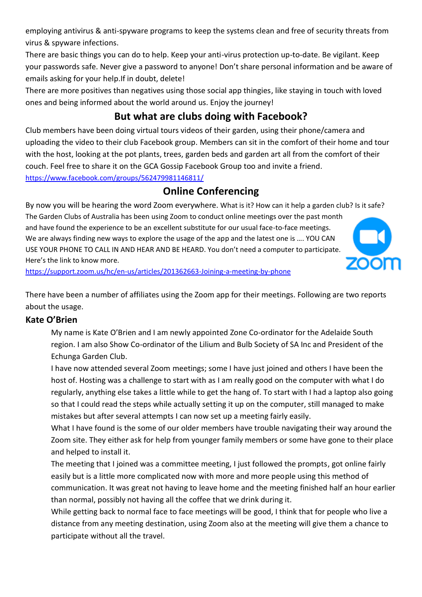employing antivirus & anti-spyware programs to keep the systems clean and free of security threats from virus & spyware infections.

There are basic things you can do to help. Keep your anti-virus protection up-to-date. Be vigilant. Keep your passwords safe. Never give a password to anyone! Don't share personal information and be aware of emails asking for your help.If in doubt, delete!

There are more positives than negatives using those social app thingies, like staying in touch with loved ones and being informed about the world around us. Enjoy the journey!

### **But what are clubs doing with Facebook?**

Club members have been doing virtual tours videos of their garden, using their phone/camera and uploading the video to their club Facebook group. Members can sit in the comfort of their home and tour with the host, looking at the pot plants, trees, garden beds and garden art all from the comfort of their couch. Feel free to share it on the GCA Gossip Facebook Group too and invite a friend. <https://www.facebook.com/groups/562479981146811/>

### **Online Conferencing**

By now you will be hearing the word Zoom everywhere. What is it? How can it help a garden club? Is it safe? The Garden Clubs of Australia has been using Zoom to conduct online meetings over the past month and have found the experience to be an excellent substitute for our usual face-to-face meetings. We are always finding new ways to explore the usage of the app and the latest one is …. YOU CAN USE YOUR PHONE TO CALL IN AND HEAR AND BE HEARD. You don't need a computer to participate. Here's the link to know more.



<https://support.zoom.us/hc/en-us/articles/201362663-Joining-a-meeting-by-phone>

There have been a number of affiliates using the Zoom app for their meetings. Following are two reports about the usage.

#### **Kate O'Brien**

My name is Kate O'Brien and I am newly appointed Zone Co-ordinator for the Adelaide South region. I am also Show Co-ordinator of the Lilium and Bulb Society of SA Inc and President of the Echunga Garden Club.

I have now attended several Zoom meetings; some I have just joined and others I have been the host of. Hosting was a challenge to start with as I am really good on the computer with what I do regularly, anything else takes a little while to get the hang of. To start with I had a laptop also going so that I could read the steps while actually setting it up on the computer, still managed to make mistakes but after several attempts I can now set up a meeting fairly easily.

What I have found is the some of our older members have trouble navigating their way around the Zoom site. They either ask for help from younger family members or some have gone to their place and helped to install it.

The meeting that I joined was a committee meeting, I just followed the prompts, got online fairly easily but is a little more complicated now with more and more people using this method of communication. It was great not having to leave home and the meeting finished half an hour earlier than normal, possibly not having all the coffee that we drink during it.

While getting back to normal face to face meetings will be good, I think that for people who live a distance from any meeting destination, using Zoom also at the meeting will give them a chance to participate without all the travel.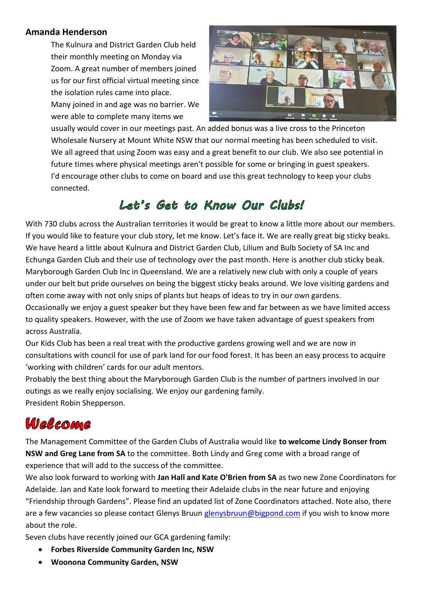#### **Amanda Henderson**

The Kulnura and District Garden Club held their monthly meeting on Monday via Zoom. A great number of members joined us for our first official virtual meeting since the isolation rules came into place.

Many joined in and age was no barrier. We were able to complete many items we



usually would cover in our meetings past. An added bonus was a live cross to the Princeton Wholesale Nursery at Mount White NSW that our normal meeting has been scheduled to visit. We all agreed that using Zoom was easy and a great benefit to our club. We also see potential in future times where physical meetings aren't possible for some or bringing in guest speakers. I'd encourage other clubs to come on board and use this great technology to keep your clubs connected.

# Let's Get to Know Our Clubs!

With 730 clubs across the Australian territories it would be great to know a little more about our members. If you would like to feature your club story, let me know. Let's face it. We are really great big sticky beaks. We have heard a little about Kulnura and District Garden Club, Lilium and Bulb Society of SA Inc and Echunga Garden Club and their use of technology over the past month. Here is another club sticky beak. Maryborough Garden Club Inc in Queensland. We are a relatively new club with only a couple of years under our belt but pride ourselves on being the biggest sticky beaks around. We love visiting gardens and often come away with not only snips of plants but heaps of ideas to try in our own gardens.

Occasionally we enjoy a guest speaker but they have been few and far between as we have limited access to quality speakers. However, with the use of Zoom we have taken advantage of guest speakers from across Australia.

Our Kids Club has been a real treat with the productive gardens growing well and we are now in consultations with council for use of park land for our food forest. It has been an easy process to acquire 'working with children' cards for our adult mentors.

Probably the best thing about the Maryborough Garden Club is the number of partners involved in our outings as we really enjoy socialising. We enjoy our gardening family. President Robin Shepperson.

# Welcome

The Management Committee of the Garden Clubs of Australia would like **to welcome Lindy Bonser from NSW and Greg Lane from SA** to the committee. Both Lindy and Greg come with a broad range of experience that will add to the success of the committee.

We also look forward to working with **Jan Hall and Kate O'Brien from SA** as two new Zone Coordinators for Adelaide. Jan and Kate look forward to meeting their Adelaide clubs in the near future and enjoying "Friendship through Gardens". Please find an updated list of Zone Coordinators attached. Note also, there are a few vacancies so please contact Glenys Bruun [glenysbruun@bigpond.com](mailto:glenysbruun@bigpond.com) if you wish to know more about the role.

Seven clubs have recently joined our GCA gardening family:

- **Forbes Riverside Community Garden Inc, NSW**
- **Woonona Community Garden, NSW**